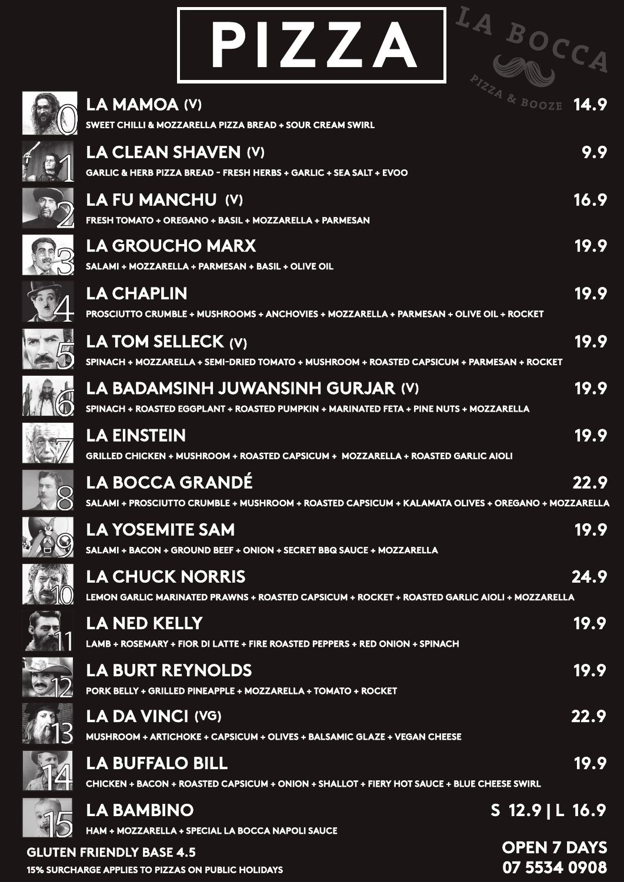| PIZZA                                                                                                                        | LA BOCC            |
|------------------------------------------------------------------------------------------------------------------------------|--------------------|
| LA MAMOA (V)<br>SWEET CHILLI & MOZZARELLA PIZZA BREAD + SOUR CREAM SWIRL                                                     |                    |
| <b>LA CLEAN SHAVEN (V)</b><br><b>GARLIC &amp; HERB PIZZA BREAD - FRESH HERBS + GARLIC + SEA SALT + EVOO</b>                  | 9.9                |
| <b>LA FU MANCHU (V)</b><br>FRESH TOMATO + OREGANO + BASIL + MOZZARELLA + PARMESAN                                            | 16.9               |
| <b>LA GROUCHO MARX</b><br>SALAMI + MOZZARELLA + PARMESAN + BASIL + OLIVE OIL                                                 | 19.9               |
| <b>LA CHAPLIN</b><br>PROSCIUTTO CRUMBLE + MUSHROOMS + ANCHOVIES + MOZZARELLA + PARMESAN + OLIVE OIL + ROCKET                 | 19.9               |
| LA TOM SELLECK (V)<br>SPINACH + MOZZARELLA + SEMI-DRIED TOMATO + MUSHROOM + ROASTED CAPSICUM + PARMESAN + ROCKET             | 19.9               |
| LA BADAMSINH JUWANSINH GURJAR (V)<br>SPINACH + ROASTED EGGPLANT + ROASTED PUMPKIN + MARINATED FETA + PINE NUTS + MOZZARELLA  | 19.9               |
| <b>LA EINSTEIN</b><br>GRILLED CHICKEN + MUSHROOM + ROASTED CAPSICUM +  MOZZARELLA + ROASTED GARLIC AIOLI                     | 19.9               |
| <b>LA BOCCA GRANDÉ</b><br>SALAMI + PROSCIUTTO CRUMBLE + MUSHROOM + ROASTED CAPSICUM + KALAMATA OLIVES + OREGANO + MOZZARELLA | 22.9               |
| <b>LA YOSEMITE SAM</b><br>SALAMI + BACON + GROUND BEEF + ONION + SECRET BBQ SAUCE + MOZZARELLA                               | 19.9               |
| <b>LA CHUCK NORRIS</b><br>LEMON GARLIC MARINATED PRAWNS + ROASTED CAPSICUM + ROCKET + ROASTED GARLIC AIOLI + MOZZARELLA      | 24.9               |
| <b>LA NED KELLY</b><br>LAMB + ROSEMARY + FIOR DI LATTE + FIRE ROASTED PEPPERS + RED ONION + SPINACH                          | 19.9               |
| <b>LA BURT REYNOLDS</b><br>PORK BELLY + GRILLED PINEAPPLE + MOZZARELLA + TOMATO + ROCKET                                     | 19.9               |
| <b>LA DA VINCI (VG)</b><br>MUSHROOM + ARTICHOKE + CAPSICUM + OLIVES + BALSAMIC GLAZE + VEGAN CHEESE                          | 22.9               |
| <b>LA BUFFALO BILL</b><br>CHICKEN + BACON + ROASTED CAPSICUM + ONION + SHALLOT + FIERY HOT SAUCE + BLUE CHEESE SWIRL         | 19.9               |
| <b>LA BAMBINO</b><br>HAM + MOZZARELLA + SPECIAL LA BOCCA NAPOLI SAUCE                                                        | $S$ 12.9   L 16.9  |
| <b>GLUTEN FRIENDLY BASE 4.5</b>                                                                                              | <b>OPEN 7 DAYS</b> |

**15% SURCHARGE APPLIES TO PIZZAS ON PUBLIC HOLIDAYS 07 5534 0908**